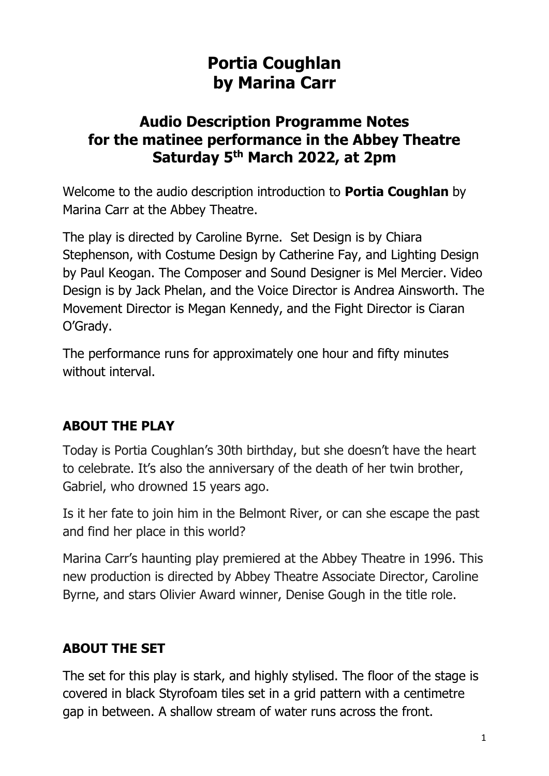# **Portia Coughlan by Marina Carr**

## **Audio Description Programme Notes for the matinee performance in the Abbey Theatre Saturday 5 th March 2022, at 2pm**

Welcome to the audio description introduction to **Portia Coughlan** by Marina Carr at the Abbey Theatre.

The play is directed by Caroline Byrne. Set Design is by Chiara Stephenson, with Costume Design by Catherine Fay, and Lighting Design by Paul Keogan. The Composer and Sound Designer is Mel Mercier. Video Design is by Jack Phelan, and the Voice Director is Andrea Ainsworth. The Movement Director is Megan Kennedy, and the Fight Director is Ciaran O'Grady.

The performance runs for approximately one hour and fifty minutes without interval.

## **ABOUT THE PLAY**

Today is Portia Coughlan's 30th birthday, but she doesn't have the heart to celebrate. It's also the anniversary of the death of her twin brother, Gabriel, who drowned 15 years ago.

Is it her fate to join him in the Belmont River, or can she escape the past and find her place in this world?

Marina Carr's haunting play premiered at the Abbey Theatre in 1996. This new production is directed by Abbey Theatre Associate Director, Caroline Byrne, and stars Olivier Award winner, Denise Gough in the title role.

## **ABOUT THE SET**

The set for this play is stark, and highly stylised. The floor of the stage is covered in black Styrofoam tiles set in a grid pattern with a centimetre gap in between. A shallow stream of water runs across the front.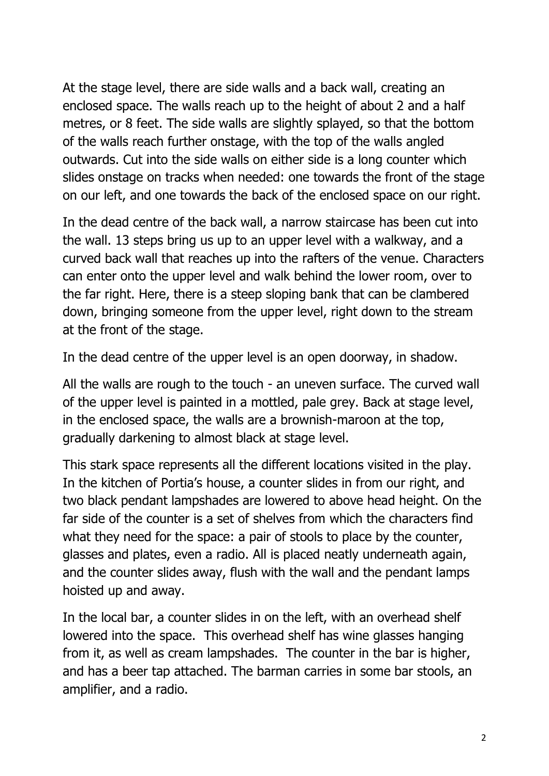At the stage level, there are side walls and a back wall, creating an enclosed space. The walls reach up to the height of about 2 and a half metres, or 8 feet. The side walls are slightly splayed, so that the bottom of the walls reach further onstage, with the top of the walls angled outwards. Cut into the side walls on either side is a long counter which slides onstage on tracks when needed: one towards the front of the stage on our left, and one towards the back of the enclosed space on our right.

In the dead centre of the back wall, a narrow staircase has been cut into the wall. 13 steps bring us up to an upper level with a walkway, and a curved back wall that reaches up into the rafters of the venue. Characters can enter onto the upper level and walk behind the lower room, over to the far right. Here, there is a steep sloping bank that can be clambered down, bringing someone from the upper level, right down to the stream at the front of the stage.

In the dead centre of the upper level is an open doorway, in shadow.

All the walls are rough to the touch - an uneven surface. The curved wall of the upper level is painted in a mottled, pale grey. Back at stage level, in the enclosed space, the walls are a brownish-maroon at the top, gradually darkening to almost black at stage level.

This stark space represents all the different locations visited in the play. In the kitchen of Portia's house, a counter slides in from our right, and two black pendant lampshades are lowered to above head height. On the far side of the counter is a set of shelves from which the characters find what they need for the space: a pair of stools to place by the counter, glasses and plates, even a radio. All is placed neatly underneath again, and the counter slides away, flush with the wall and the pendant lamps hoisted up and away.

In the local bar, a counter slides in on the left, with an overhead shelf lowered into the space. This overhead shelf has wine glasses hanging from it, as well as cream lampshades. The counter in the bar is higher, and has a beer tap attached. The barman carries in some bar stools, an amplifier, and a radio.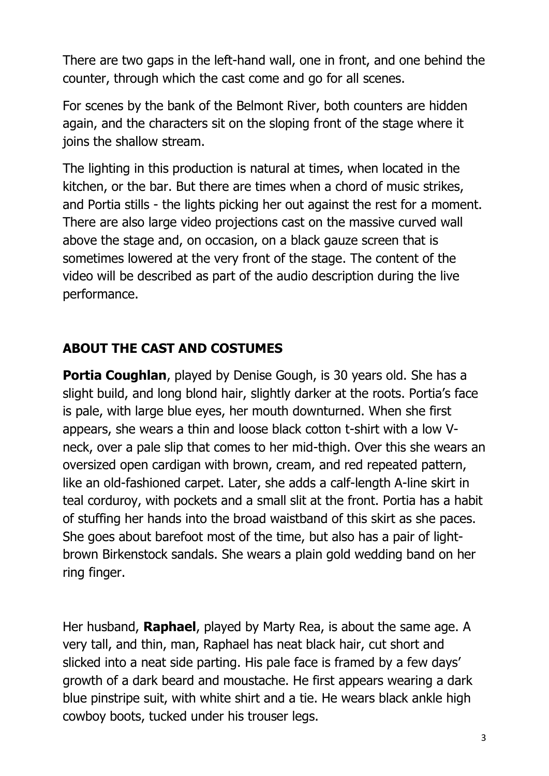There are two gaps in the left-hand wall, one in front, and one behind the counter, through which the cast come and go for all scenes.

For scenes by the bank of the Belmont River, both counters are hidden again, and the characters sit on the sloping front of the stage where it joins the shallow stream.

The lighting in this production is natural at times, when located in the kitchen, or the bar. But there are times when a chord of music strikes, and Portia stills - the lights picking her out against the rest for a moment. There are also large video projections cast on the massive curved wall above the stage and, on occasion, on a black gauze screen that is sometimes lowered at the very front of the stage. The content of the video will be described as part of the audio description during the live performance.

#### **ABOUT THE CAST AND COSTUMES**

**Portia Coughlan**, played by Denise Gough, is 30 years old. She has a slight build, and long blond hair, slightly darker at the roots. Portia's face is pale, with large blue eyes, her mouth downturned. When she first appears, she wears a thin and loose black cotton t-shirt with a low Vneck, over a pale slip that comes to her mid-thigh. Over this she wears an oversized open cardigan with brown, cream, and red repeated pattern, like an old-fashioned carpet. Later, she adds a calf-length A-line skirt in teal corduroy, with pockets and a small slit at the front. Portia has a habit of stuffing her hands into the broad waistband of this skirt as she paces. She goes about barefoot most of the time, but also has a pair of lightbrown Birkenstock sandals. She wears a plain gold wedding band on her ring finger.

Her husband, **Raphael**, played by Marty Rea, is about the same age. A very tall, and thin, man, Raphael has neat black hair, cut short and slicked into a neat side parting. His pale face is framed by a few days' growth of a dark beard and moustache. He first appears wearing a dark blue pinstripe suit, with white shirt and a tie. He wears black ankle high cowboy boots, tucked under his trouser legs.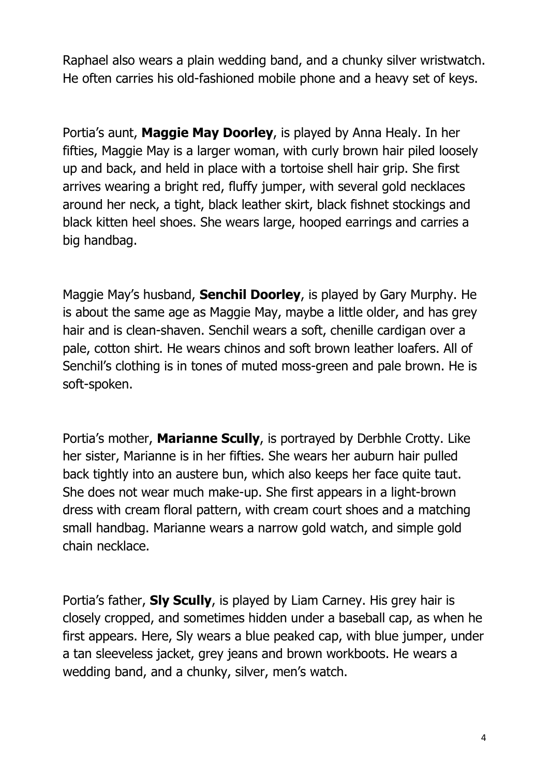Raphael also wears a plain wedding band, and a chunky silver wristwatch. He often carries his old-fashioned mobile phone and a heavy set of keys.

Portia's aunt, **Maggie May Doorley**, is played by Anna Healy. In her fifties, Maggie May is a larger woman, with curly brown hair piled loosely up and back, and held in place with a tortoise shell hair grip. She first arrives wearing a bright red, fluffy jumper, with several gold necklaces around her neck, a tight, black leather skirt, black fishnet stockings and black kitten heel shoes. She wears large, hooped earrings and carries a big handbag.

Maggie May's husband, **Senchil Doorley**, is played by Gary Murphy. He is about the same age as Maggie May, maybe a little older, and has grey hair and is clean-shaven. Senchil wears a soft, chenille cardigan over a pale, cotton shirt. He wears chinos and soft brown leather loafers. All of Senchil's clothing is in tones of muted moss-green and pale brown. He is soft-spoken.

Portia's mother, **Marianne Scully**, is portrayed by Derbhle Crotty. Like her sister, Marianne is in her fifties. She wears her auburn hair pulled back tightly into an austere bun, which also keeps her face quite taut. She does not wear much make-up. She first appears in a light-brown dress with cream floral pattern, with cream court shoes and a matching small handbag. Marianne wears a narrow gold watch, and simple gold chain necklace.

Portia's father, **Sly Scully**, is played by Liam Carney. His grey hair is closely cropped, and sometimes hidden under a baseball cap, as when he first appears. Here, Sly wears a blue peaked cap, with blue jumper, under a tan sleeveless jacket, grey jeans and brown workboots. He wears a wedding band, and a chunky, silver, men's watch.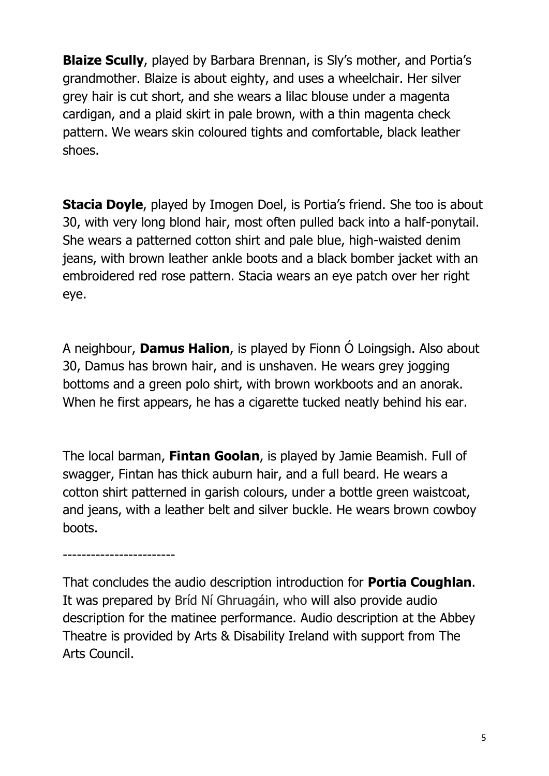**Blaize Scully**, played by Barbara Brennan, is Sly's mother, and Portia's grandmother. Blaize is about eighty, and uses a wheelchair. Her silver grey hair is cut short, and she wears a lilac blouse under a magenta cardigan, and a plaid skirt in pale brown, with a thin magenta check pattern. We wears skin coloured tights and comfortable, black leather shoes.

**Stacia Doyle**, played by Imogen Doel, is Portia's friend. She too is about 30, with very long blond hair, most often pulled back into a half-ponytail. She wears a patterned cotton shirt and pale blue, high-waisted denim jeans, with brown leather ankle boots and a black bomber jacket with an embroidered red rose pattern. Stacia wears an eye patch over her right eye.

A neighbour, **Damus Halion**, is played by Fionn Ó Loingsigh. Also about 30, Damus has brown hair, and is unshaven. He wears grey jogging bottoms and a green polo shirt, with brown workboots and an anorak. When he first appears, he has a cigarette tucked neatly behind his ear.

The local barman, **Fintan Goolan**, is played by Jamie Beamish. Full of swagger, Fintan has thick auburn hair, and a full beard. He wears a cotton shirt patterned in garish colours, under a bottle green waistcoat, and jeans, with a leather belt and silver buckle. He wears brown cowboy boots.

------------------------

That concludes the audio description introduction for **Portia Coughlan**. It was prepared by Bríd Ní Ghruagáin, who will also provide audio description for the matinee performance. Audio description at the Abbey Theatre is provided by Arts & Disability Ireland with support from The Arts Council.